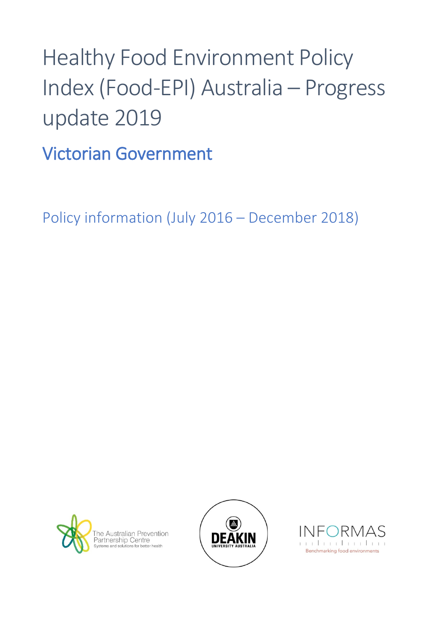## Healthy Food Environment Policy Index (Food-EPI) Australia – Progress update 2019

Victorian Government

Policy information (July 2016 – December 2018)





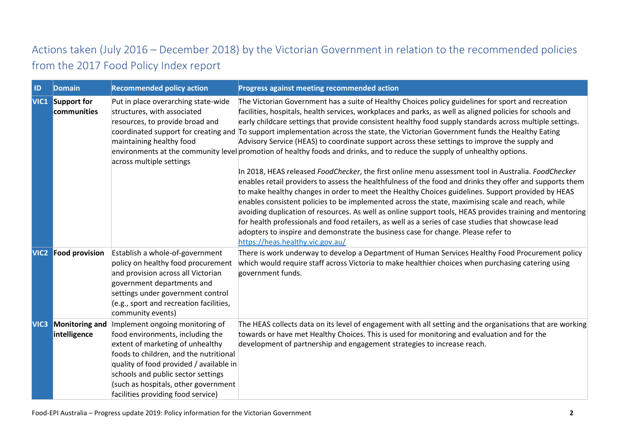## Actions taken (July 2016 – December 2018) by the Victorian Government in relation to the recommended policies from the 2017 Food Policy Index report

| ID               | <b>Domain</b>                          | <b>Recommended policy action</b>                                                                                                                                                                                                                                                                                 | Progress against meeting recommended action                                                                                                                                                                                                                                                                                                                                                                                                                                                                                                                                                                                                                                                                                                                                                                                                                                                                                                                                                                                                                                                                                                                                                                                                                                                                                                                                                                                                                              |
|------------------|----------------------------------------|------------------------------------------------------------------------------------------------------------------------------------------------------------------------------------------------------------------------------------------------------------------------------------------------------------------|--------------------------------------------------------------------------------------------------------------------------------------------------------------------------------------------------------------------------------------------------------------------------------------------------------------------------------------------------------------------------------------------------------------------------------------------------------------------------------------------------------------------------------------------------------------------------------------------------------------------------------------------------------------------------------------------------------------------------------------------------------------------------------------------------------------------------------------------------------------------------------------------------------------------------------------------------------------------------------------------------------------------------------------------------------------------------------------------------------------------------------------------------------------------------------------------------------------------------------------------------------------------------------------------------------------------------------------------------------------------------------------------------------------------------------------------------------------------------|
|                  | <b>VIC1</b> Support for<br>communities | Put in place overarching state-wide<br>structures, with associated<br>resources, to provide broad and<br>maintaining healthy food<br>across multiple settings                                                                                                                                                    | The Victorian Government has a suite of Healthy Choices policy guidelines for sport and recreation<br>facilities, hospitals, health services, workplaces and parks, as well as aligned policies for schools and<br>early childcare settings that provide consistent healthy food supply standards across multiple settings.<br>coordinated support for creating and To support implementation across the state, the Victorian Government funds the Healthy Eating<br>Advisory Service (HEAS) to coordinate support across these settings to improve the supply and<br>environments at the community level promotion of healthy foods and drinks, and to reduce the supply of unhealthy options.<br>In 2018, HEAS released FoodChecker, the first online menu assessment tool in Australia. FoodChecker<br>enables retail providers to assess the healthfulness of the food and drinks they offer and supports them<br>to make healthy changes in order to meet the Healthy Choices guidelines. Support provided by HEAS<br>enables consistent policies to be implemented across the state, maximising scale and reach, while<br>avoiding duplication of resources. As well as online support tools, HEAS provides training and mentoring<br>for health professionals and food retailers, as well as a series of case studies that showcase lead<br>adopters to inspire and demonstrate the business case for change. Please refer to<br>https://heas.healthy.vic.gov.au/ |
| <b>VIC2</b>      | <b>Food provision</b>                  | Establish a whole-of-government<br>policy on healthy food procurement<br>and provision across all Victorian<br>government departments and<br>settings under government control<br>(e.g., sport and recreation facilities,<br>community events)                                                                   | There is work underway to develop a Department of Human Services Healthy Food Procurement policy<br>which would require staff across Victoria to make healthier choices when purchasing catering using<br>government funds.                                                                                                                                                                                                                                                                                                                                                                                                                                                                                                                                                                                                                                                                                                                                                                                                                                                                                                                                                                                                                                                                                                                                                                                                                                              |
| VIC <sub>3</sub> | <b>Monitoring and</b><br>intelligence  | Implement ongoing monitoring of<br>food environments, including the<br>extent of marketing of unhealthy<br>foods to children, and the nutritional<br>quality of food provided / available in<br>schools and public sector settings<br>(such as hospitals, other government<br>facilities providing food service) | The HEAS collects data on its level of engagement with all setting and the organisations that are working<br>towards or have met Healthy Choices. This is used for monitoring and evaluation and for the<br>development of partnership and engagement strategies to increase reach.                                                                                                                                                                                                                                                                                                                                                                                                                                                                                                                                                                                                                                                                                                                                                                                                                                                                                                                                                                                                                                                                                                                                                                                      |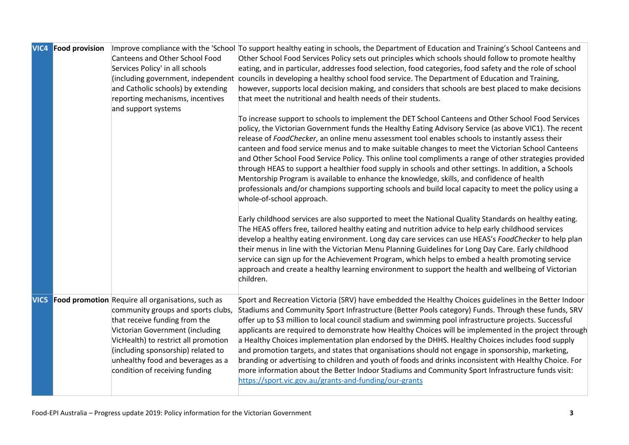|      | <b>VIC4 Food provision</b> | <b>Canteens and Other School Food</b><br>Services Policy' in all schools<br>(including government, independent<br>and Catholic schools) by extending<br>reporting mechanisms, incentives<br>and support systems                                                                                                  | Improve compliance with the 'School  To support healthy eating in schools, the Department of Education and Training's School Canteens and<br>Other School Food Services Policy sets out principles which schools should follow to promote healthy<br>eating, and in particular, addresses food selection, food categories, food safety and the role of school<br>councils in developing a healthy school food service. The Department of Education and Training,<br>however, supports local decision making, and considers that schools are best placed to make decisions<br>that meet the nutritional and health needs of their students.                                                                                                                                                                                                                                                                         |
|------|----------------------------|------------------------------------------------------------------------------------------------------------------------------------------------------------------------------------------------------------------------------------------------------------------------------------------------------------------|--------------------------------------------------------------------------------------------------------------------------------------------------------------------------------------------------------------------------------------------------------------------------------------------------------------------------------------------------------------------------------------------------------------------------------------------------------------------------------------------------------------------------------------------------------------------------------------------------------------------------------------------------------------------------------------------------------------------------------------------------------------------------------------------------------------------------------------------------------------------------------------------------------------------|
|      |                            |                                                                                                                                                                                                                                                                                                                  | To increase support to schools to implement the DET School Canteens and Other School Food Services<br>policy, the Victorian Government funds the Healthy Eating Advisory Service (as above VIC1). The recent<br>release of FoodChecker, an online menu assessment tool enables schools to instantly assess their<br>canteen and food service menus and to make suitable changes to meet the Victorian School Canteens<br>and Other School Food Service Policy. This online tool compliments a range of other strategies provided<br>through HEAS to support a healthier food supply in schools and other settings. In addition, a Schools<br>Mentorship Program is available to enhance the knowledge, skills, and confidence of health<br>professionals and/or champions supporting schools and build local capacity to meet the policy using a<br>whole-of-school approach.                                      |
|      |                            |                                                                                                                                                                                                                                                                                                                  | Early childhood services are also supported to meet the National Quality Standards on healthy eating.<br>The HEAS offers free, tailored healthy eating and nutrition advice to help early childhood services<br>develop a healthy eating environment. Long day care services can use HEAS's FoodChecker to help plan<br>their menus in line with the Victorian Menu Planning Guidelines for Long Day Care. Early childhood<br>service can sign up for the Achievement Program, which helps to embed a health promoting service<br>approach and create a healthy learning environment to support the health and wellbeing of Victorian<br>children.                                                                                                                                                                                                                                                                 |
| VIC5 |                            | Food promotion Require all organisations, such as<br>community groups and sports clubs,<br>that receive funding from the<br>Victorian Government (including<br>VicHealth) to restrict all promotion<br>(including sponsorship) related to<br>unhealthy food and beverages as a<br>condition of receiving funding | Sport and Recreation Victoria (SRV) have embedded the Healthy Choices guidelines in the Better Indoor<br>Stadiums and Community Sport Infrastructure (Better Pools category) Funds. Through these funds, SRV<br>offer up to \$3 million to local council stadium and swimming pool infrastructure projects. Successful<br>applicants are required to demonstrate how Healthy Choices will be implemented in the project through<br>a Healthy Choices implementation plan endorsed by the DHHS. Healthy Choices includes food supply<br>and promotion targets, and states that organisations should not engage in sponsorship, marketing,<br>branding or advertising to children and youth of foods and drinks inconsistent with Healthy Choice. For<br>more information about the Better Indoor Stadiums and Community Sport Infrastructure funds visit:<br>https://sport.vic.gov.au/grants-and-funding/our-grants |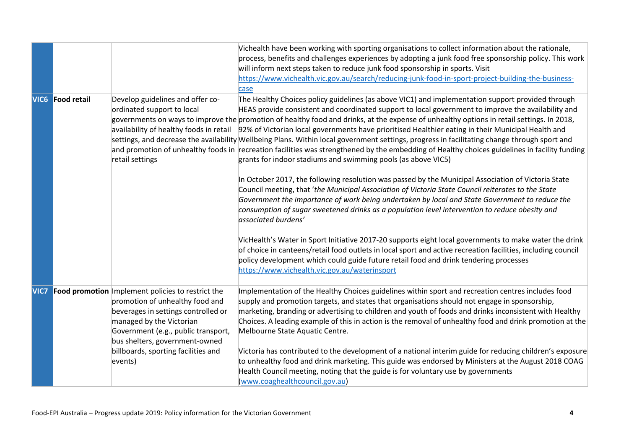|      |                         |                                                                                                                                                                                                                                                                                    | Vichealth have been working with sporting organisations to collect information about the rationale,                                                                                                                                                                                                                                                                                                                                                                                                                                                                                                                                                                                                                                                                                                                                                                   |
|------|-------------------------|------------------------------------------------------------------------------------------------------------------------------------------------------------------------------------------------------------------------------------------------------------------------------------|-----------------------------------------------------------------------------------------------------------------------------------------------------------------------------------------------------------------------------------------------------------------------------------------------------------------------------------------------------------------------------------------------------------------------------------------------------------------------------------------------------------------------------------------------------------------------------------------------------------------------------------------------------------------------------------------------------------------------------------------------------------------------------------------------------------------------------------------------------------------------|
|      |                         |                                                                                                                                                                                                                                                                                    | process, benefits and challenges experiences by adopting a junk food free sponsorship policy. This work                                                                                                                                                                                                                                                                                                                                                                                                                                                                                                                                                                                                                                                                                                                                                               |
|      |                         |                                                                                                                                                                                                                                                                                    | will inform next steps taken to reduce junk food sponsorship in sports. Visit                                                                                                                                                                                                                                                                                                                                                                                                                                                                                                                                                                                                                                                                                                                                                                                         |
|      |                         |                                                                                                                                                                                                                                                                                    | https://www.vichealth.vic.gov.au/search/reducing-junk-food-in-sport-project-building-the-business-                                                                                                                                                                                                                                                                                                                                                                                                                                                                                                                                                                                                                                                                                                                                                                    |
|      |                         |                                                                                                                                                                                                                                                                                    | case                                                                                                                                                                                                                                                                                                                                                                                                                                                                                                                                                                                                                                                                                                                                                                                                                                                                  |
|      | <b>VIC6</b> Food retail | Develop guidelines and offer co-<br>ordinated support to local<br>retail settings                                                                                                                                                                                                  | The Healthy Choices policy guidelines (as above VIC1) and implementation support provided through<br>HEAS provide consistent and coordinated support to local government to improve the availability and<br>governments on ways to improve the promotion of healthy food and drinks, at the expense of unhealthy options in retail settings. In 2018,<br>availability of healthy foods in retail 92% of Victorian local governments have prioritised Healthier eating in their Municipal Health and<br>settings, and decrease the availability Wellbeing Plans. Within local government settings, progress in facilitating change through sport and<br>and promotion of unhealthy foods in recreation facilities was strengthened by the embedding of Healthy choices guidelines in facility funding<br>grants for indoor stadiums and swimming pools (as above VIC5) |
|      |                         |                                                                                                                                                                                                                                                                                    | In October 2017, the following resolution was passed by the Municipal Association of Victoria State<br>Council meeting, that 'the Municipal Association of Victoria State Council reiterates to the State<br>Government the importance of work being undertaken by local and State Government to reduce the<br>consumption of sugar sweetened drinks as a population level intervention to reduce obesity and<br>associated burdens'                                                                                                                                                                                                                                                                                                                                                                                                                                  |
|      |                         |                                                                                                                                                                                                                                                                                    | VicHealth's Water in Sport Initiative 2017-20 supports eight local governments to make water the drink<br>of choice in canteens/retail food outlets in local sport and active recreation facilities, including council<br>policy development which could guide future retail food and drink tendering processes<br>https://www.vichealth.vic.gov.au/waterinsport                                                                                                                                                                                                                                                                                                                                                                                                                                                                                                      |
| VIC7 |                         | Food promotion Implement policies to restrict the<br>promotion of unhealthy food and<br>beverages in settings controlled or<br>managed by the Victorian<br>Government (e.g., public transport,<br>bus shelters, government-owned<br>billboards, sporting facilities and<br>events) | Implementation of the Healthy Choices guidelines within sport and recreation centres includes food<br>supply and promotion targets, and states that organisations should not engage in sponsorship,<br>marketing, branding or advertising to children and youth of foods and drinks inconsistent with Healthy<br>Choices. A leading example of this in action is the removal of unhealthy food and drink promotion at the<br>Melbourne State Aquatic Centre.<br>Victoria has contributed to the development of a national interim guide for reducing children's exposure<br>to unhealthy food and drink marketing. This guide was endorsed by Ministers at the August 2018 COAG                                                                                                                                                                                       |
|      |                         |                                                                                                                                                                                                                                                                                    | Health Council meeting, noting that the guide is for voluntary use by governments<br>(www.coaghealthcouncil.gov.au)                                                                                                                                                                                                                                                                                                                                                                                                                                                                                                                                                                                                                                                                                                                                                   |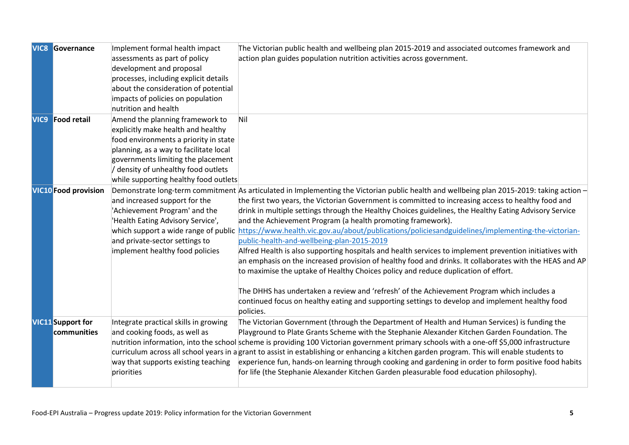|                  | <b>VIC8 Governance</b>                  | Implement formal health impact<br>assessments as part of policy<br>development and proposal<br>processes, including explicit details<br>about the consideration of potential                                                                                                   | The Victorian public health and wellbeing plan 2015-2019 and associated outcomes framework and<br>action plan guides population nutrition activities across government.                                                                                                                                                                                                                                                                                                                                                                                                                                                                                                                                                                                                                                                                                                                                                                                                                                                                                                                                                                      |
|------------------|-----------------------------------------|--------------------------------------------------------------------------------------------------------------------------------------------------------------------------------------------------------------------------------------------------------------------------------|----------------------------------------------------------------------------------------------------------------------------------------------------------------------------------------------------------------------------------------------------------------------------------------------------------------------------------------------------------------------------------------------------------------------------------------------------------------------------------------------------------------------------------------------------------------------------------------------------------------------------------------------------------------------------------------------------------------------------------------------------------------------------------------------------------------------------------------------------------------------------------------------------------------------------------------------------------------------------------------------------------------------------------------------------------------------------------------------------------------------------------------------|
|                  |                                         | impacts of policies on population<br>nutrition and health                                                                                                                                                                                                                      |                                                                                                                                                                                                                                                                                                                                                                                                                                                                                                                                                                                                                                                                                                                                                                                                                                                                                                                                                                                                                                                                                                                                              |
| VIC <sub>9</sub> | <b>Food retail</b>                      | Amend the planning framework to<br>explicitly make health and healthy<br>food environments a priority in state<br>planning, as a way to facilitate local<br>governments limiting the placement<br>/ density of unhealthy food outlets<br>while supporting healthy food outlets | Nil                                                                                                                                                                                                                                                                                                                                                                                                                                                                                                                                                                                                                                                                                                                                                                                                                                                                                                                                                                                                                                                                                                                                          |
|                  | <b>VIC10</b> Food provision             | and increased support for the<br>'Achievement Program' and the<br>'Health Eating Advisory Service',<br>and private-sector settings to<br>implement healthy food policies                                                                                                       | Demonstrate long-term commitment As articulated in Implementing the Victorian public health and wellbeing plan 2015-2019: taking action -<br>the first two years, the Victorian Government is committed to increasing access to healthy food and<br>drink in multiple settings through the Healthy Choices guidelines, the Healthy Eating Advisory Service<br>and the Achievement Program (a health promoting framework).<br>which support a wide range of public https://www.health.vic.gov.au/about/publications/policiesandguidelines/implementing-the-victorian-<br>public-health-and-wellbeing-plan-2015-2019<br>Alfred Health is also supporting hospitals and health services to implement prevention initiatives with<br>an emphasis on the increased provision of healthy food and drinks. It collaborates with the HEAS and AP<br>to maximise the uptake of Healthy Choices policy and reduce duplication of effort.<br>The DHHS has undertaken a review and 'refresh' of the Achievement Program which includes a<br>continued focus on healthy eating and supporting settings to develop and implement healthy food<br>policies. |
|                  | <b>VIC11</b> Support for<br>communities | Integrate practical skills in growing<br>and cooking foods, as well as<br>way that supports existing teaching<br>priorities                                                                                                                                                    | The Victorian Government (through the Department of Health and Human Services) is funding the<br>Playground to Plate Grants Scheme with the Stephanie Alexander Kitchen Garden Foundation. The<br>nutrition information, into the school scheme is providing 100 Victorian government primary schools with a one-off \$5,000 infrastructure<br>curriculum across all school years in agrant to assist in establishing or enhancing a kitchen garden program. This will enable students to<br>experience fun, hands-on learning through cooking and gardening in order to form positive food habits<br>for life (the Stephanie Alexander Kitchen Garden pleasurable food education philosophy).                                                                                                                                                                                                                                                                                                                                                                                                                                               |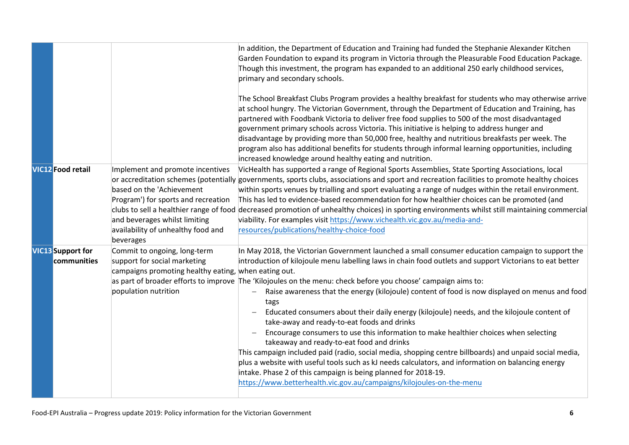|                                         |                                                                                                                                                                                                                                     | In addition, the Department of Education and Training had funded the Stephanie Alexander Kitchen<br>Garden Foundation to expand its program in Victoria through the Pleasurable Food Education Package.<br>Though this investment, the program has expanded to an additional 250 early childhood services,<br>primary and secondary schools.<br>The School Breakfast Clubs Program provides a healthy breakfast for students who may otherwise arrive<br>at school hungry. The Victorian Government, through the Department of Education and Training, has<br>partnered with Foodbank Victoria to deliver free food supplies to 500 of the most disadvantaged<br>government primary schools across Victoria. This initiative is helping to address hunger and<br>disadvantage by providing more than 50,000 free, healthy and nutritious breakfasts per week. The<br>program also has additional benefits for students through informal learning opportunities, including                                                                                                                                         |
|-----------------------------------------|-------------------------------------------------------------------------------------------------------------------------------------------------------------------------------------------------------------------------------------|-------------------------------------------------------------------------------------------------------------------------------------------------------------------------------------------------------------------------------------------------------------------------------------------------------------------------------------------------------------------------------------------------------------------------------------------------------------------------------------------------------------------------------------------------------------------------------------------------------------------------------------------------------------------------------------------------------------------------------------------------------------------------------------------------------------------------------------------------------------------------------------------------------------------------------------------------------------------------------------------------------------------------------------------------------------------------------------------------------------------|
|                                         |                                                                                                                                                                                                                                     | increased knowledge around healthy eating and nutrition.                                                                                                                                                                                                                                                                                                                                                                                                                                                                                                                                                                                                                                                                                                                                                                                                                                                                                                                                                                                                                                                          |
| <b>VIC12</b> Food retail                | Implement and promote incentives<br>based on the 'Achievement<br>Program') for sports and recreation<br>clubs to sell a healthier range of food<br>and beverages whilst limiting<br>availability of unhealthy food and<br>beverages | VicHealth has supported a range of Regional Sports Assemblies, State Sporting Associations, local<br>or accreditation schemes (potentially governments, sports clubs, associations and sport and recreation facilities to promote healthy choices<br>within sports venues by trialling and sport evaluating a range of nudges within the retail environment.<br>This has led to evidence-based recommendation for how healthier choices can be promoted (and<br>decreased promotion of unhealthy choices) in sporting environments whilst still maintaining commercial<br>viability. For examples visit https://www.vichealth.vic.gov.au/media-and-<br>resources/publications/healthy-choice-food                                                                                                                                                                                                                                                                                                                                                                                                                 |
| <b>VIC13</b> Support for<br>communities | Commit to ongoing, long-term<br>support for social marketing<br>campaigns promoting healthy eating, when eating out.<br>population nutrition                                                                                        | In May 2018, the Victorian Government launched a small consumer education campaign to support the<br>introduction of kilojoule menu labelling laws in chain food outlets and support Victorians to eat better<br>as part of broader efforts to improve The 'Kilojoules on the menu: check before you choose' campaign aims to:<br>Raise awareness that the energy (kilojoule) content of food is now displayed on menus and food<br>$\overline{\phantom{0}}$<br>tags<br>Educated consumers about their daily energy (kilojoule) needs, and the kilojoule content of<br>take-away and ready-to-eat foods and drinks<br>Encourage consumers to use this information to make healthier choices when selecting<br>takeaway and ready-to-eat food and drinks<br>This campaign included paid (radio, social media, shopping centre billboards) and unpaid social media,<br>plus a website with useful tools such as kJ needs calculators, and information on balancing energy<br>intake. Phase 2 of this campaign is being planned for 2018-19.<br>https://www.betterhealth.vic.gov.au/campaigns/kilojoules-on-the-menu |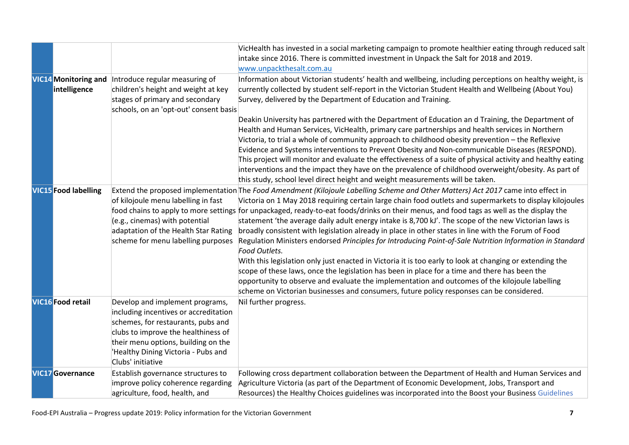|                                             |                                                                                                                                                                                                                                                          | VicHealth has invested in a social marketing campaign to promote healthier eating through reduced salt<br>intake since 2016. There is committed investment in Unpack the Salt for 2018 and 2019.<br>www.unpackthesalt.com.au                                                                                                                                                                                                                                                                                                                                                                                                                                                                                                                                                                                                                                                                                                                                                                                                                                                                                                                      |
|---------------------------------------------|----------------------------------------------------------------------------------------------------------------------------------------------------------------------------------------------------------------------------------------------------------|---------------------------------------------------------------------------------------------------------------------------------------------------------------------------------------------------------------------------------------------------------------------------------------------------------------------------------------------------------------------------------------------------------------------------------------------------------------------------------------------------------------------------------------------------------------------------------------------------------------------------------------------------------------------------------------------------------------------------------------------------------------------------------------------------------------------------------------------------------------------------------------------------------------------------------------------------------------------------------------------------------------------------------------------------------------------------------------------------------------------------------------------------|
| <b>VIC14</b> Monitoring and<br>intelligence | Introduce regular measuring of<br>children's height and weight at key<br>stages of primary and secondary<br>schools, on an 'opt-out' consent basis                                                                                                       | Information about Victorian students' health and wellbeing, including perceptions on healthy weight, is<br>currently collected by student self-report in the Victorian Student Health and Wellbeing (About You)<br>Survey, delivered by the Department of Education and Training.                                                                                                                                                                                                                                                                                                                                                                                                                                                                                                                                                                                                                                                                                                                                                                                                                                                                 |
|                                             |                                                                                                                                                                                                                                                          | Deakin University has partnered with the Department of Education an d Training, the Department of<br>Health and Human Services, VicHealth, primary care partnerships and health services in Northern<br>Victoria, to trial a whole of community approach to childhood obesity prevention - the Reflexive<br>Evidence and Systems interventions to Prevent Obesity and Non-communicable Diseases (RESPOND).<br>This project will monitor and evaluate the effectiveness of a suite of physical activity and healthy eating<br>interventions and the impact they have on the prevalence of childhood overweight/obesity. As part of<br>this study, school level direct height and weight measurements will be taken.                                                                                                                                                                                                                                                                                                                                                                                                                                |
| <b>VIC15</b> Food labelling                 | of kilojoule menu labelling in fast<br>(e.g., cinemas) with potential<br>adaptation of the Health Star Rating<br>scheme for menu labelling purposes                                                                                                      | Extend the proposed implementation The Food Amendment (Kilojoule Labelling Scheme and Other Matters) Act 2017 came into effect in<br>Victoria on 1 May 2018 requiring certain large chain food outlets and supermarkets to display kilojoules<br>food chains to apply to more settings for unpackaged, ready-to-eat foods/drinks on their menus, and food tags as well as the display the<br>statement 'the average daily adult energy intake is 8,700 kJ'. The scope of the new Victorian laws is<br>broadly consistent with legislation already in place in other states in line with the Forum of Food<br>Regulation Ministers endorsed Principles for Introducing Point-of-Sale Nutrition Information in Standard<br>Food Outlets.<br>With this legislation only just enacted in Victoria it is too early to look at changing or extending the<br>scope of these laws, once the legislation has been in place for a time and there has been the<br>opportunity to observe and evaluate the implementation and outcomes of the kilojoule labelling<br>scheme on Victorian businesses and consumers, future policy responses can be considered. |
| <b>VIC16</b> Food retail                    | Develop and implement programs,<br>including incentives or accreditation<br>schemes, for restaurants, pubs and<br>clubs to improve the healthiness of<br>their menu options, building on the<br>'Healthy Dining Victoria - Pubs and<br>Clubs' initiative | Nil further progress.                                                                                                                                                                                                                                                                                                                                                                                                                                                                                                                                                                                                                                                                                                                                                                                                                                                                                                                                                                                                                                                                                                                             |
| <b>VIC17</b> Governance                     | Establish governance structures to<br>improve policy coherence regarding<br>agriculture, food, health, and                                                                                                                                               | Following cross department collaboration between the Department of Health and Human Services and<br>Agriculture Victoria (as part of the Department of Economic Development, Jobs, Transport and<br>Resources) the Healthy Choices guidelines was incorporated into the Boost your Business Guidelines                                                                                                                                                                                                                                                                                                                                                                                                                                                                                                                                                                                                                                                                                                                                                                                                                                            |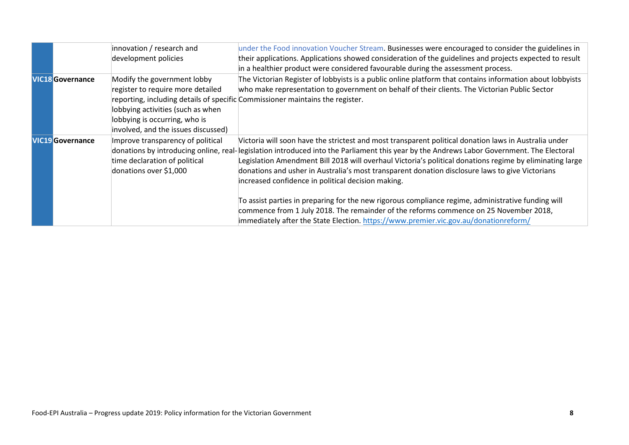|                         | innovation / research and<br>development policies                                                                                                                             | under the Food innovation Voucher Stream. Businesses were encouraged to consider the guidelines in<br>their applications. Applications showed consideration of the guidelines and projects expected to result<br>in a healthier product were considered favourable during the assessment process.                                                                                                                                                                                                                                                                                                                                                                                                                                                                                                              |
|-------------------------|-------------------------------------------------------------------------------------------------------------------------------------------------------------------------------|----------------------------------------------------------------------------------------------------------------------------------------------------------------------------------------------------------------------------------------------------------------------------------------------------------------------------------------------------------------------------------------------------------------------------------------------------------------------------------------------------------------------------------------------------------------------------------------------------------------------------------------------------------------------------------------------------------------------------------------------------------------------------------------------------------------|
| <b>VIC18</b> Governance | Modify the government lobby<br>register to require more detailed<br>lobbying activities (such as when<br>lobbying is occurring, who is<br>involved, and the issues discussed) | The Victorian Register of lobbyists is a public online platform that contains information about lobbyists<br>who make representation to government on behalf of their clients. The Victorian Public Sector<br>reporting, including details of specific Commissioner maintains the register.                                                                                                                                                                                                                                                                                                                                                                                                                                                                                                                    |
| <b>VIC19</b> Governance | Improve transparency of political<br>time declaration of political<br>donations over \$1,000                                                                                  | Victoria will soon have the strictest and most transparent political donation laws in Australia under<br>donations by introducing online, real-legislation introduced into the Parliament this year by the Andrews Labor Government. The Electoral<br>Legislation Amendment Bill 2018 will overhaul Victoria's political donations regime by eliminating large<br>donations and usher in Australia's most transparent donation disclosure laws to give Victorians<br>increased confidence in political decision making.<br>To assist parties in preparing for the new rigorous compliance regime, administrative funding will<br>commence from 1 July 2018. The remainder of the reforms commence on 25 November 2018,<br>immediately after the State Election. https://www.premier.vic.gov.au/donationreform/ |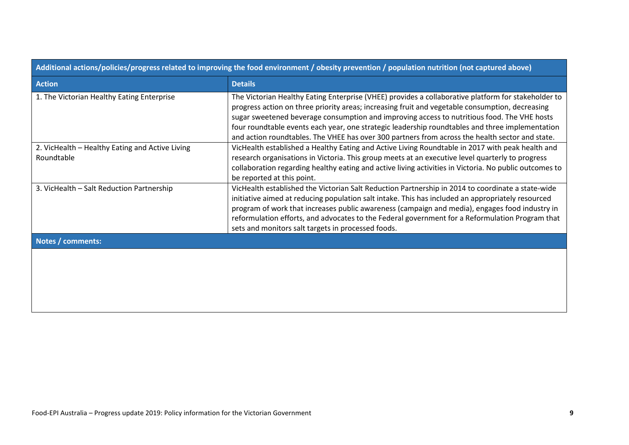| Additional actions/poncies/progress related to improving the rood environment / obesity prevention / population nutrition (not captured above) |                                                                                                                                                                                                                                                                                                                                                                                                                                                                                                             |  |  |
|------------------------------------------------------------------------------------------------------------------------------------------------|-------------------------------------------------------------------------------------------------------------------------------------------------------------------------------------------------------------------------------------------------------------------------------------------------------------------------------------------------------------------------------------------------------------------------------------------------------------------------------------------------------------|--|--|
| <b>Action</b>                                                                                                                                  | <b>Details</b>                                                                                                                                                                                                                                                                                                                                                                                                                                                                                              |  |  |
| 1. The Victorian Healthy Eating Enterprise                                                                                                     | The Victorian Healthy Eating Enterprise (VHEE) provides a collaborative platform for stakeholder to<br>progress action on three priority areas; increasing fruit and vegetable consumption, decreasing<br>sugar sweetened beverage consumption and improving access to nutritious food. The VHE hosts<br>four roundtable events each year, one strategic leadership roundtables and three implementation<br>and action roundtables. The VHEE has over 300 partners from across the health sector and state. |  |  |
| 2. VicHealth - Healthy Eating and Active Living<br>Roundtable                                                                                  | VicHealth established a Healthy Eating and Active Living Roundtable in 2017 with peak health and<br>research organisations in Victoria. This group meets at an executive level quarterly to progress<br>collaboration regarding healthy eating and active living activities in Victoria. No public outcomes to<br>be reported at this point.                                                                                                                                                                |  |  |
| 3. VicHealth - Salt Reduction Partnership                                                                                                      | VicHealth established the Victorian Salt Reduction Partnership in 2014 to coordinate a state-wide<br>initiative aimed at reducing population salt intake. This has included an appropriately resourced<br>program of work that increases public awareness (campaign and media), engages food industry in<br>reformulation efforts, and advocates to the Federal government for a Reformulation Program that<br>sets and monitors salt targets in processed foods.                                           |  |  |
| Notes / comments:                                                                                                                              |                                                                                                                                                                                                                                                                                                                                                                                                                                                                                                             |  |  |
|                                                                                                                                                |                                                                                                                                                                                                                                                                                                                                                                                                                                                                                                             |  |  |

**Additional actions/policies/progress related to improving the food environment / obesity prevention / population nutrition (not captured above)**